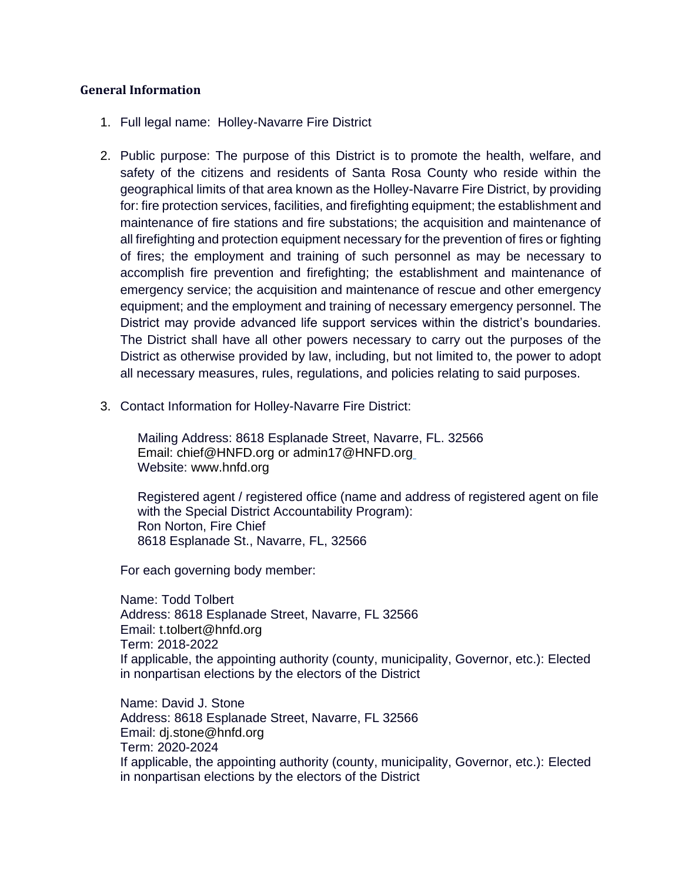## **General Information**

- 1. Full legal name: Holley-Navarre Fire District
- 2. Public purpose: The purpose of this District is to promote the health, welfare, and safety of the citizens and residents of Santa Rosa County who reside within the geographical limits of that area known as the Holley-Navarre Fire District, by providing for: fire protection services, facilities, and firefighting equipment; the establishment and maintenance of fire stations and fire substations; the acquisition and maintenance of all firefighting and protection equipment necessary for the prevention of fires or fighting of fires; the employment and training of such personnel as may be necessary to accomplish fire prevention and firefighting; the establishment and maintenance of emergency service; the acquisition and maintenance of rescue and other emergency equipment; and the employment and training of necessary emergency personnel. The District may provide advanced life support services within the district's boundaries. The District shall have all other powers necessary to carry out the purposes of the District as otherwise provided by law, including, but not limited to, the power to adopt all necessary measures, rules, regulations, and policies relating to said purposes.
- 3. Contact Information for Holley-Navarre Fire District:

Mailing Address: 8618 Esplanade Street, Navarre, FL. 32566 Email: chief@HNFD.org or admin17@HNFD.org Website: www.hnfd.org

Registered agent / registered office (name and address of registered agent on file with the Special District Accountability Program): Ron Norton, Fire Chief 8618 Esplanade St., Navarre, FL, 32566

For each governing body member:

Name: Todd Tolbert Address: 8618 Esplanade Street, Navarre, FL 32566 Email: t.tolbert@hnfd.org Term: 2018-2022 If applicable, the appointing authority (county, municipality, Governor, etc.): Elected in nonpartisan elections by the electors of the District

Name: David J. Stone Address: 8618 Esplanade Street, Navarre, FL 32566 Email: dj.stone@hnfd.org Term: 2020-2024 If applicable, the appointing authority (county, municipality, Governor, etc.): Elected in nonpartisan elections by the electors of the District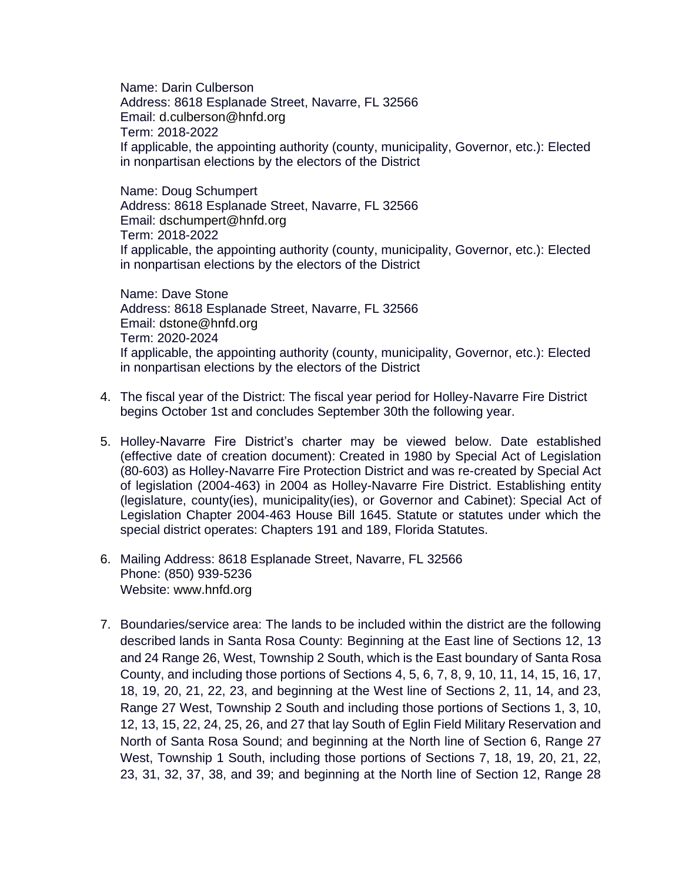Name: Darin Culberson Address: 8618 Esplanade Street, Navarre, FL 32566 Email: d.culberson@hnfd.org Term: 2018-2022 If applicable, the appointing authority (county, municipality, Governor, etc.): Elected in nonpartisan elections by the electors of the District

Name: Doug Schumpert Address: 8618 Esplanade Street, Navarre, FL 32566 Email: dschumpert@hnfd.org Term: 2018-2022 If applicable, the appointing authority (county, municipality, Governor, etc.): Elected in nonpartisan elections by the electors of the District

Name: Dave Stone Address: 8618 Esplanade Street, Navarre, FL 32566 Email: dstone@hnfd.org Term: 2020-2024 If applicable, the appointing authority (county, municipality, Governor, etc.): Elected in nonpartisan elections by the electors of the District

- 4. The fiscal year of the District: The fiscal year period for Holley-Navarre Fire District begins October 1st and concludes September 30th the following year.
- 5. Holley-Navarre Fire District's charter may be viewed below. Date established (effective date of creation document): Created in 1980 by Special Act of Legislation (80-603) as Holley-Navarre Fire Protection District and was re-created by Special Act of legislation (2004-463) in 2004 as Holley-Navarre Fire District. Establishing entity (legislature, county(ies), municipality(ies), or Governor and Cabinet): Special Act of Legislation Chapter 2004-463 House Bill 1645. Statute or statutes under which the special district operates: Chapters 191 and 189, Florida Statutes.
- 6. Mailing Address: 8618 Esplanade Street, Navarre, FL 32566 Phone: (850) 939-5236 Website: www.hnfd.org
- 7. Boundaries/service area: The lands to be included within the district are the following described lands in Santa Rosa County: Beginning at the East line of Sections 12, 13 and 24 Range 26, West, Township 2 South, which is the East boundary of Santa Rosa County, and including those portions of Sections 4, 5, 6, 7, 8, 9, 10, 11, 14, 15, 16, 17, 18, 19, 20, 21, 22, 23, and beginning at the West line of Sections 2, 11, 14, and 23, Range 27 West, Township 2 South and including those portions of Sections 1, 3, 10, 12, 13, 15, 22, 24, 25, 26, and 27 that lay South of Eglin Field Military Reservation and North of Santa Rosa Sound; and beginning at the North line of Section 6, Range 27 West, Township 1 South, including those portions of Sections 7, 18, 19, 20, 21, 22, 23, 31, 32, 37, 38, and 39; and beginning at the North line of Section 12, Range 28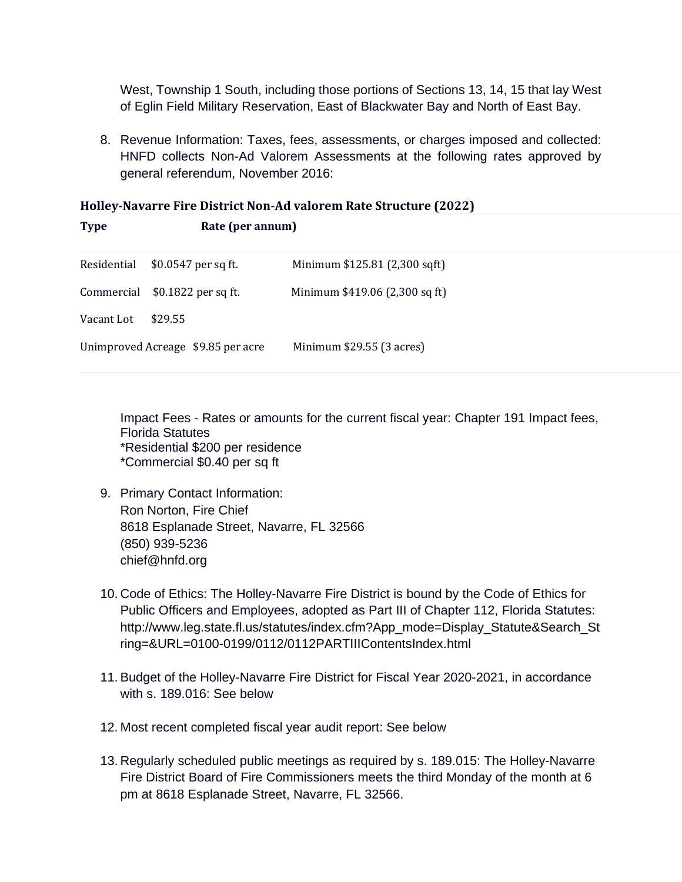West, Township 1 South, including those portions of Sections 13, 14, 15 that lay West of Eglin Field Military Reservation, East of Blackwater Bay and North of East Bay.

8. Revenue Information: Taxes, fees, assessments, or charges imposed and collected: HNFD collects Non-Ad Valorem Assessments at the following rates approved by general referendum, November 2016:

## **Holley-Navarre Fire District Non-Ad valorem Rate Structure (2022)**

| Residential                        | \$0.0547 per sq ft. | Minimum \$125.81 (2,300 sqft)  |
|------------------------------------|---------------------|--------------------------------|
| Commercial                         | \$0.1822 per sq ft. | Minimum \$419.06 (2,300 sq ft) |
| Vacant Lot                         | \$29.55             |                                |
| Unimproved Acreage \$9.85 per acre |                     | Minimum \$29.55 (3 acres)      |

**Type Rate (per annum)**

Impact Fees - Rates or amounts for the current fiscal year: Chapter 191 Impact fees, Florida Statutes \*Residential \$200 per residence \*Commercial \$0.40 per sq ft

- 9. Primary Contact Information: Ron Norton, Fire Chief 8618 Esplanade Street, Navarre, FL 32566 (850) 939-5236 [chief@hnfd.org](mailto:chief@hnfd.org)
- 10. Code of Ethics: The Holley-Navarre Fire District is bound by the Code of Ethics for Public Officers and Employees, adopted as Part III of Chapter 112, Florida Statutes: [http://www.leg.state.fl.us/statutes/index.cfm?App\\_mode=Display\\_Statute&Search\\_St](http://www.leg.state.fl.us/statutes/index.cfm?App_mode=Display_Statute&Search_String=&URL=0100-0199/0112/0112PARTIIIContentsIndex.html) [ring=&URL=0100-0199/0112/0112PARTIIIContentsIndex.html](http://www.leg.state.fl.us/statutes/index.cfm?App_mode=Display_Statute&Search_String=&URL=0100-0199/0112/0112PARTIIIContentsIndex.html)
- 11. Budget of the Holley-Navarre Fire District for Fiscal Year 2020-2021, in accordance with s. 189.016: See below
- 12. Most recent completed fiscal year audit report: See below
- 13. Regularly scheduled public meetings as required by s. 189.015: The Holley-Navarre Fire District Board of Fire Commissioners meets the third Monday of the month at 6 pm at 8618 Esplanade Street, Navarre, FL 32566.